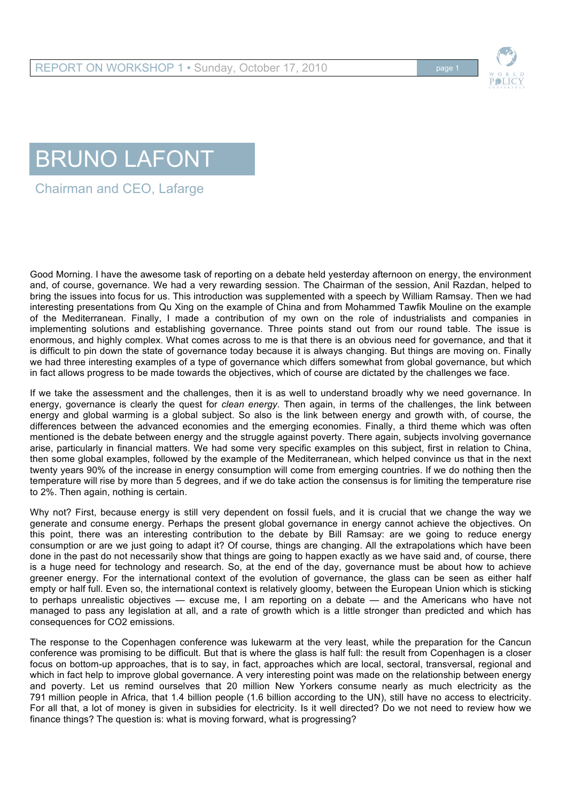



Chairman and CEO, Lafarge

Good Morning. I have the awesome task of reporting on a debate held yesterday afternoon on energy, the environment and, of course, governance. We had a very rewarding session. The Chairman of the session, Anil Razdan, helped to bring the issues into focus for us. This introduction was supplemented with a speech by William Ramsay. Then we had interesting presentations from Qu Xing on the example of China and from Mohammed Tawfik Mouline on the example of the Mediterranean. Finally, I made a contribution of my own on the role of industrialists and companies in implementing solutions and establishing governance. Three points stand out from our round table. The issue is enormous, and highly complex. What comes across to me is that there is an obvious need for governance, and that it is difficult to pin down the state of governance today because it is always changing. But things are moving on. Finally we had three interesting examples of a type of governance which differs somewhat from global governance, but which in fact allows progress to be made towards the objectives, which of course are dictated by the challenges we face.

If we take the assessment and the challenges, then it is as well to understand broadly why we need governance. In energy, governance is clearly the quest for *clean energy*. Then again, in terms of the challenges, the link between energy and global warming is a global subject. So also is the link between energy and growth with, of course, the differences between the advanced economies and the emerging economies. Finally, a third theme which was often mentioned is the debate between energy and the struggle against poverty. There again, subjects involving governance arise, particularly in financial matters. We had some very specific examples on this subject, first in relation to China, then some global examples, followed by the example of the Mediterranean, which helped convince us that in the next twenty years 90% of the increase in energy consumption will come from emerging countries. If we do nothing then the temperature will rise by more than 5 degrees, and if we do take action the consensus is for limiting the temperature rise to 2%. Then again, nothing is certain.

Why not? First, because energy is still very dependent on fossil fuels, and it is crucial that we change the way we generate and consume energy. Perhaps the present global governance in energy cannot achieve the objectives. On this point, there was an interesting contribution to the debate by Bill Ramsay: are we going to reduce energy consumption or are we just going to adapt it? Of course, things are changing. All the extrapolations which have been done in the past do not necessarily show that things are going to happen exactly as we have said and, of course, there is a huge need for technology and research. So, at the end of the day, governance must be about how to achieve greener energy. For the international context of the evolution of governance, the glass can be seen as either half empty or half full. Even so, the international context is relatively gloomy, between the European Union which is sticking to perhaps unrealistic objectives — excuse me, I am reporting on a debate — and the Americans who have not managed to pass any legislation at all, and a rate of growth which is a little stronger than predicted and which has consequences for CO2 emissions.

The response to the Copenhagen conference was lukewarm at the very least, while the preparation for the Cancun conference was promising to be difficult. But that is where the glass is half full: the result from Copenhagen is a closer focus on bottom-up approaches, that is to say, in fact, approaches which are local, sectoral, transversal, regional and which in fact help to improve global governance. A very interesting point was made on the relationship between energy and poverty. Let us remind ourselves that 20 million New Yorkers consume nearly as much electricity as the 791 million people in Africa, that 1.4 billion people (1.6 billion according to the UN), still have no access to electricity. For all that, a lot of money is given in subsidies for electricity. Is it well directed? Do we not need to review how we finance things? The question is: what is moving forward, what is progressing?